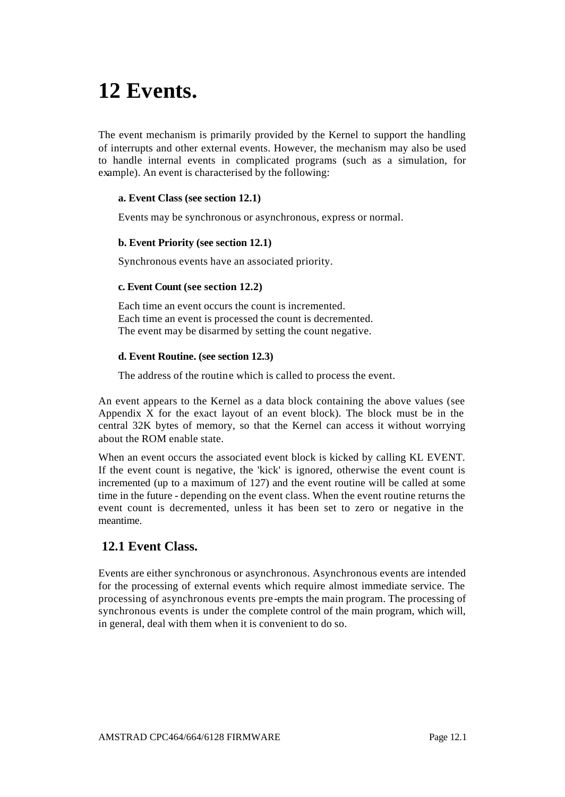# **12 Events.**

The event mechanism is primarily provided by the Kernel to support the handling of interrupts and other external events. However, the mechanism may also be used to handle internal events in complicated programs (such as a simulation, for example). An event is characterised by the following:

## **a. Event Class (see section 12.1)**

Events may be synchronous or asynchronous, express or normal.

#### **b. Event Priority (see section 12.1)**

Synchronous events have an associated priority.

#### **c. Event Count (see section 12.2)**

Each time an event occurs the count is incremented. Each time an event is processed the count is decremented. The event may be disarmed by setting the count negative.

#### **d. Event Routine. (see section 12.3)**

The address of the routine which is called to process the event.

An event appears to the Kernel as a data block containing the above values (see Appendix X for the exact layout of an event block). The block must be in the central 32K bytes of memory, so that the Kernel can access it without worrying about the ROM enable state.

When an event occurs the associated event block is kicked by calling KL EVENT. If the event count is negative, the 'kick' is ignored, otherwise the event count is incremented (up to a maximum of 127) and the event routine will be called at some time in the future - depending on the event class. When the event routine returns the event count is decremented, unless it has been set to zero or negative in the meantime.

## **12.1 Event Class.**

Events are either synchronous or asynchronous. Asynchronous events are intended for the processing of external events which require almost immediate service. The processing of asynchronous events pre-empts the main program. The processing of synchronous events is under the complete control of the main program, which will, in general, deal with them when it is convenient to do so.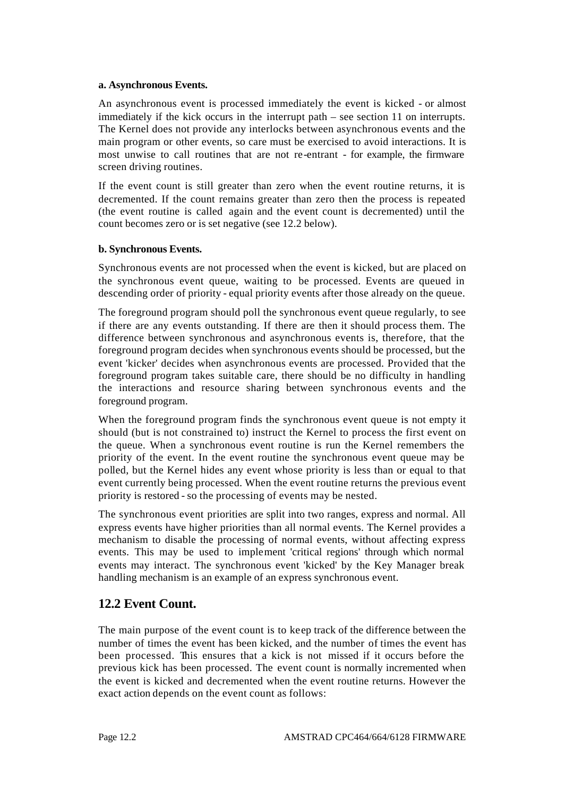#### **a. Asynchronous Events.**

An asynchronous event is processed immediately the event is kicked - or almost immediately if the kick occurs in the interrupt path – see section 11 on interrupts. The Kernel does not provide any interlocks between asynchronous events and the main program or other events, so care must be exercised to avoid interactions. It is most unwise to call routines that are not re-entrant - for example, the firmware screen driving routines.

If the event count is still greater than zero when the event routine returns, it is decremented. If the count remains greater than zero then the process is repeated (the event routine is called again and the event count is decremented) until the count becomes zero or is set negative (see 12.2 below).

## **b. Synchronous Events.**

Synchronous events are not processed when the event is kicked, but are placed on the synchronous event queue, waiting to be processed. Events are queued in descending order of priority - equal priority events after those already on the queue.

The foreground program should poll the synchronous event queue regularly, to see if there are any events outstanding. If there are then it should process them. The difference between synchronous and asynchronous events is, therefore, that the foreground program decides when synchronous events should be processed, but the event 'kicker' decides when asynchronous events are processed. Provided that the foreground program takes suitable care, there should be no difficulty in handling the interactions and resource sharing between synchronous events and the foreground program.

When the foreground program finds the synchronous event queue is not empty it should (but is not constrained to) instruct the Kernel to process the first event on the queue. When a synchronous event routine is run the Kernel remembers the priority of the event. In the event routine the synchronous event queue may be polled, but the Kernel hides any event whose priority is less than or equal to that event currently being processed. When the event routine returns the previous event priority is restored - so the processing of events may be nested.

The synchronous event priorities are split into two ranges, express and normal. All express events have higher priorities than all normal events. The Kernel provides a mechanism to disable the processing of normal events, without affecting express events. This may be used to implement 'critical regions' through which normal events may interact. The synchronous event 'kicked' by the Key Manager break handling mechanism is an example of an express synchronous event.

# **12.2 Event Count.**

The main purpose of the event count is to keep track of the difference between the number of times the event has been kicked, and the number of times the event has been processed. This ensures that a kick is not missed if it occurs before the previous kick has been processed. The event count is normally incremented when the event is kicked and decremented when the event routine returns. However the exact action depends on the event count as follows: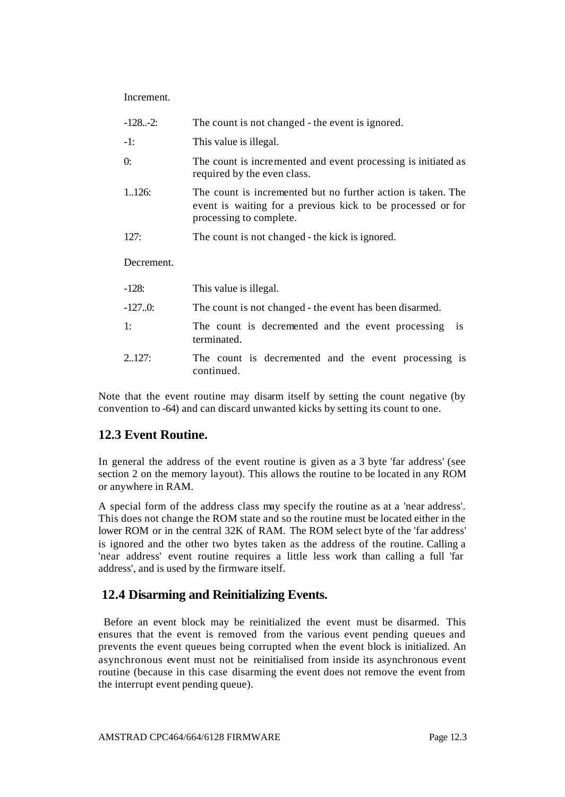**Increment** 

| $-1282$ :  | The count is not changed - the event is ignored.                                                                                                       |
|------------|--------------------------------------------------------------------------------------------------------------------------------------------------------|
| $-1:$      | This value is illegal.                                                                                                                                 |
| $\theta$ : | The count is incremented and event processing is initiated as<br>required by the even class.                                                           |
| 1.126:     | The count is incremented but no further action is taken. The<br>event is waiting for a previous kick to be processed or for<br>processing to complete. |
| 127:       | The count is not changed - the kick is ignored.                                                                                                        |
| Decrement. |                                                                                                                                                        |
| $-128:$    | This value is illegal.                                                                                                                                 |
| $-127.0$   | The count is not changed - the event has been disarmed.                                                                                                |
| 1:         | The count is decremented and the event processing<br><i>is</i><br>terminated.                                                                          |

2..127: The count is decremented and the event processing is continued.

Note that the event routine may disarm itself by setting the count negative (by convention to -64) and can discard unwanted kicks by setting its count to one.

# **12.3 Event Routine.**

In general the address of the event routine is given as a 3 byte 'far address' (see section 2 on the memory layout). This allows the routine to be located in any ROM or anywhere in RAM.

A special form of the address class may specify the routine as at a 'near address'. This does not change the ROM state and so the routine must be located either in the lower ROM or in the central 32K of RAM. The ROM select byte of the 'far address' is ignored and the other two bytes taken as the address of the routine. Calling a 'near address' event routine requires a little less work than calling a full 'far address', and is used by the firmware itself.

# **12.4 Disarming and Reinitializing Events.**

 Before an event block may be reinitialized the event must be disarmed. This ensures that the event is removed from the various event pending queues and prevents the event queues being corrupted when the event block is initialized. An asynchronous event must not be reinitialised from inside its asynchronous event routine (because in this case disarming the event does not remove the event from the interrupt event pending queue).